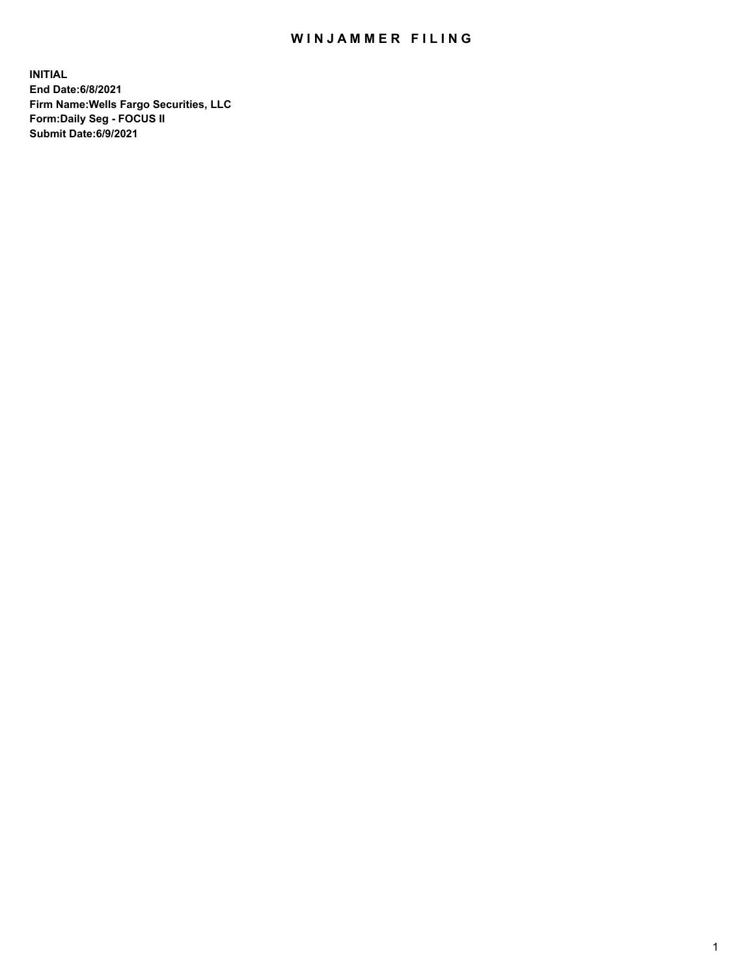## WIN JAMMER FILING

**INITIAL End Date:6/8/2021 Firm Name:Wells Fargo Securities, LLC Form:Daily Seg - FOCUS II Submit Date:6/9/2021**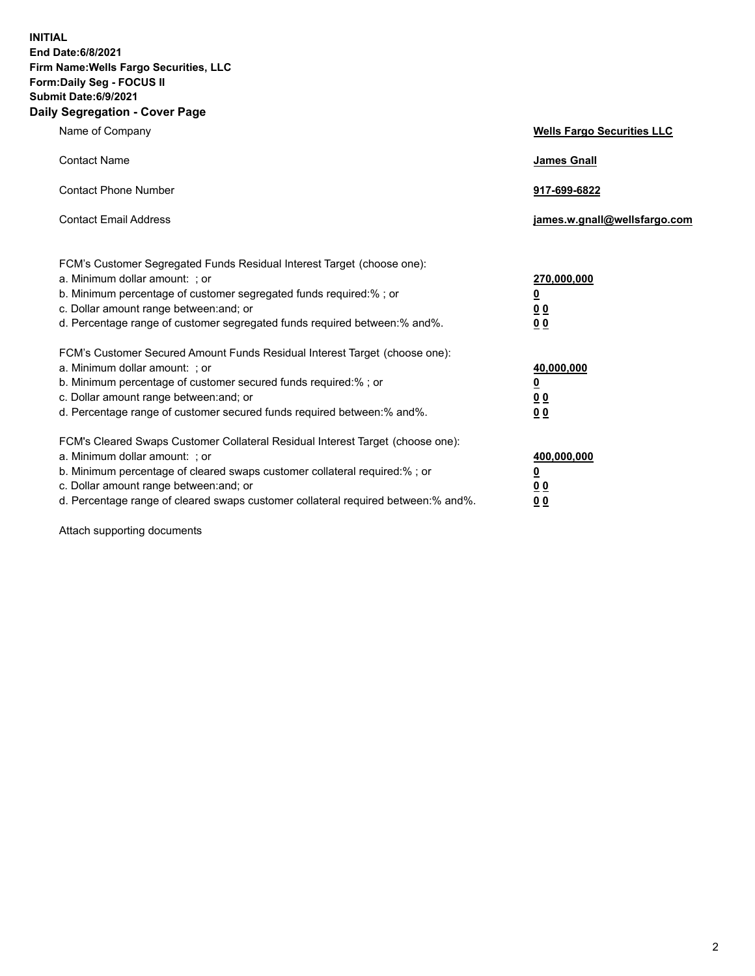**INITIAL End Date:6/8/2021 Firm Name:Wells Fargo Securities, LLC Form:Daily Seg - FOCUS II Submit Date:6/9/2021 Daily Segregation - Cover Page**

| Name of Company                                                                                                                                                                                                                                                                                                                | <b>Wells Fargo Securities LLC</b>                              |
|--------------------------------------------------------------------------------------------------------------------------------------------------------------------------------------------------------------------------------------------------------------------------------------------------------------------------------|----------------------------------------------------------------|
| <b>Contact Name</b>                                                                                                                                                                                                                                                                                                            | <b>James Gnall</b>                                             |
| <b>Contact Phone Number</b>                                                                                                                                                                                                                                                                                                    | 917-699-6822                                                   |
| <b>Contact Email Address</b>                                                                                                                                                                                                                                                                                                   | james.w.gnall@wellsfargo.com                                   |
| FCM's Customer Segregated Funds Residual Interest Target (choose one):<br>a. Minimum dollar amount: ; or<br>b. Minimum percentage of customer segregated funds required:% ; or<br>c. Dollar amount range between: and; or<br>d. Percentage range of customer segregated funds required between:% and%.                         | 270,000,000<br>$\overline{\mathbf{0}}$<br>0 <sub>0</sub><br>00 |
| FCM's Customer Secured Amount Funds Residual Interest Target (choose one):<br>a. Minimum dollar amount: ; or<br>b. Minimum percentage of customer secured funds required:% ; or<br>c. Dollar amount range between: and; or<br>d. Percentage range of customer secured funds required between:% and%.                           | 40,000,000<br><u>0</u><br>00<br>0 <sub>0</sub>                 |
| FCM's Cleared Swaps Customer Collateral Residual Interest Target (choose one):<br>a. Minimum dollar amount: ; or<br>b. Minimum percentage of cleared swaps customer collateral required:% ; or<br>c. Dollar amount range between: and; or<br>d. Percentage range of cleared swaps customer collateral required between:% and%. | 400,000,000<br><u>0</u><br>0 <sub>0</sub><br>00                |

Attach supporting documents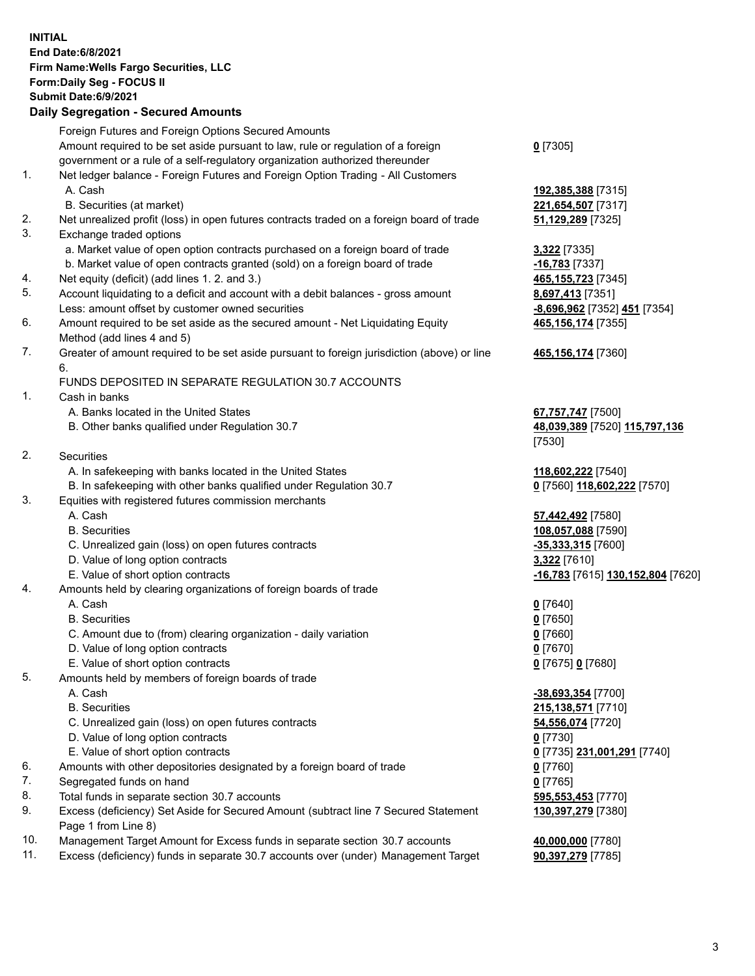**INITIAL End Date:6/8/2021 Firm Name:Wells Fargo Securities, LLC Form:Daily Seg - FOCUS II Submit Date:6/9/2021 Daily Segregation - Secured Amounts** Foreign Futures and Foreign Options Secured Amounts Amount required to be set aside pursuant to law, rule or regulation of a foreign government or a rule of a self-regulatory organization authorized thereunder 1. Net ledger balance - Foreign Futures and Foreign Option Trading - All Customers A. Cash **192,385,388** [7315] B. Securities (at market) **221,654,507** [7317] 2. Net unrealized profit (loss) in open futures contracts traded on a foreign board of trade **51,129,289** [7325] 3. Exchange traded options a. Market value of open option contracts purchased on a foreign board of trade **3,322** [7335] b. Market value of open contracts granted (sold) on a foreign board of trade **-16,783** [7337] 4. Net equity (deficit) (add lines 1. 2. and 3.) **465,155,723** [7345] 5. Account liquidating to a deficit and account with a debit balances - gross amount **8,697,413** [7351] Less: amount offset by customer owned securities **-8,696,962** [7352] **451** [7354] 6. Amount required to be set aside as the secured amount - Net Liquidating Equity Method (add lines 4 and 5) 7. Greater of amount required to be set aside pursuant to foreign jurisdiction (above) or line 6. FUNDS DEPOSITED IN SEPARATE REGULATION 30.7 ACCOUNTS 1. Cash in banks A. Banks located in the United States **67,757,747** [7500] B. Other banks qualified under Regulation 30.7 **48,039,389** [7520] **115,797,136** 2. Securities A. In safekeeping with banks located in the United States **118,602,222** [7540] B. In safekeeping with other banks qualified under Regulation 30.7 **0** [7560] **118,602,222** [7570] 3. Equities with registered futures commission merchants A. Cash **57,442,492** [7580] B. Securities **108,057,088** [7590] C. Unrealized gain (loss) on open futures contracts **-35,333,315** [7600]

- D. Value of long option contracts **3,322** [7610]
- 4. Amounts held by clearing organizations of foreign boards of trade
	-
	- B. Securities **0** [7650]
	- C. Amount due to (from) clearing organization daily variation **0** [7660]
	- D. Value of long option contracts **0** [7670]
	- E. Value of short option contracts **0** [7675] **0** [7680]
- 5. Amounts held by members of foreign boards of trade
	-
	-
	- C. Unrealized gain (loss) on open futures contracts **54,556,074** [7720]
	- D. Value of long option contracts **0** [7730]
	- E. Value of short option contracts **0** [7735] **231,001,291** [7740]
- 6. Amounts with other depositories designated by a foreign board of trade **0** [7760]
- 7. Segregated funds on hand **0** [7765]
- 8. Total funds in separate section 30.7 accounts **595,553,453** [7770]
- 9. Excess (deficiency) Set Aside for Secured Amount (subtract line 7 Secured Statement Page 1 from Line 8)
- 10. Management Target Amount for Excess funds in separate section 30.7 accounts **40,000,000** [7780]
- 11. Excess (deficiency) funds in separate 30.7 accounts over (under) Management Target **90,397,279** [7785]

**0** [7305]

**465,156,174** [7355]

## **465,156,174** [7360]

[7530]

E. Value of short option contracts **-16,783** [7615] **130,152,804** [7620]

A. Cash **0** [7640]

 A. Cash **-38,693,354** [7700] B. Securities **215,138,571** [7710] **130,397,279** [7380]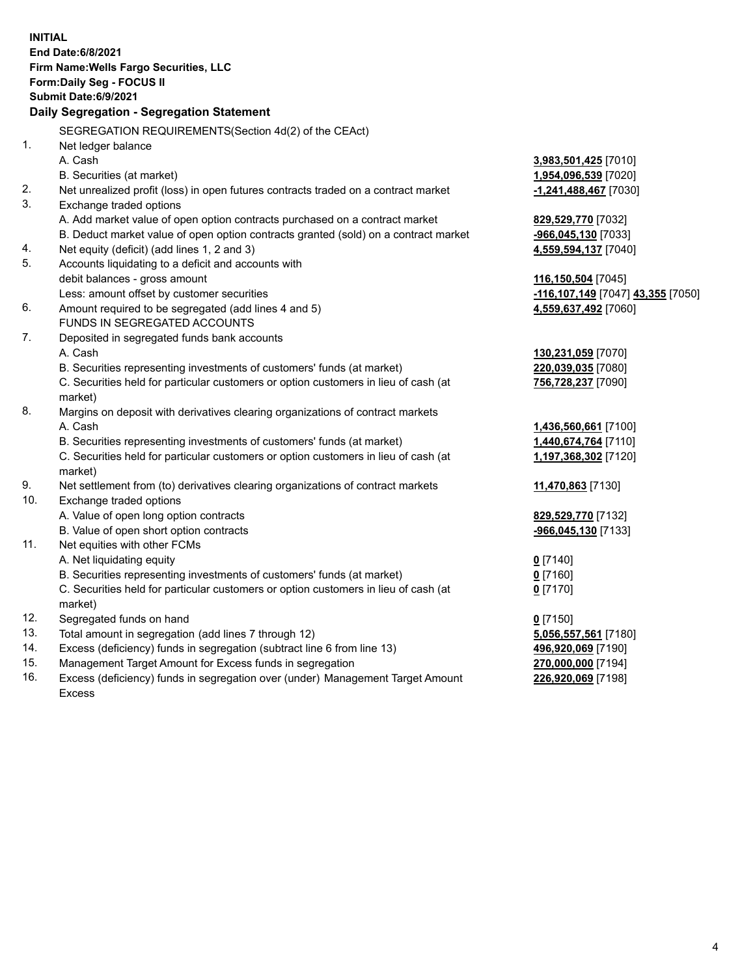|     | <b>INITIAL</b><br><b>End Date:6/8/2021</b>                                                     |                                                       |
|-----|------------------------------------------------------------------------------------------------|-------------------------------------------------------|
|     | Firm Name: Wells Fargo Securities, LLC                                                         |                                                       |
|     | Form: Daily Seg - FOCUS II                                                                     |                                                       |
|     | <b>Submit Date:6/9/2021</b>                                                                    |                                                       |
|     | Daily Segregation - Segregation Statement                                                      |                                                       |
|     | SEGREGATION REQUIREMENTS(Section 4d(2) of the CEAct)                                           |                                                       |
| 1.  | Net ledger balance                                                                             |                                                       |
|     | A. Cash                                                                                        | 3,983,501,425 [7010]                                  |
|     | B. Securities (at market)                                                                      | 1,954,096,539 [7020]                                  |
| 2.  | Net unrealized profit (loss) in open futures contracts traded on a contract market             | $-1,241,488,467$ [7030]                               |
| 3.  | Exchange traded options                                                                        |                                                       |
|     | A. Add market value of open option contracts purchased on a contract market                    | 829,529,770 [7032]                                    |
|     | B. Deduct market value of open option contracts granted (sold) on a contract market            | -966,045,130 [7033]                                   |
| 4.  | Net equity (deficit) (add lines 1, 2 and 3)                                                    | 4,559,594,137 [7040]                                  |
| 5.  | Accounts liquidating to a deficit and accounts with                                            |                                                       |
|     | debit balances - gross amount                                                                  | 116,150,504 [7045]                                    |
|     | Less: amount offset by customer securities                                                     | <mark>-116,107,149</mark> [7047] <b>43,355</b> [7050] |
| 6.  | Amount required to be segregated (add lines 4 and 5)                                           | 4,559,637,492 [7060]                                  |
|     | FUNDS IN SEGREGATED ACCOUNTS                                                                   |                                                       |
| 7.  | Deposited in segregated funds bank accounts                                                    |                                                       |
|     | A. Cash                                                                                        | 130,231,059 [7070]                                    |
|     | B. Securities representing investments of customers' funds (at market)                         | 220,039,035 [7080]                                    |
|     | C. Securities held for particular customers or option customers in lieu of cash (at<br>market) | 756,728,237 [7090]                                    |
| 8.  | Margins on deposit with derivatives clearing organizations of contract markets                 |                                                       |
|     | A. Cash                                                                                        | 1,436,560,661 [7100]                                  |
|     | B. Securities representing investments of customers' funds (at market)                         | 1,440,674,764 [7110]                                  |
|     | C. Securities held for particular customers or option customers in lieu of cash (at<br>market) | 1,197,368,302 [7120]                                  |
| 9.  | Net settlement from (to) derivatives clearing organizations of contract markets                | 11,470,863 [7130]                                     |
| 10. | Exchange traded options                                                                        |                                                       |
|     | A. Value of open long option contracts                                                         | 829,529,770 [7132]                                    |
|     | B. Value of open short option contracts                                                        | -966,045,130 [7133]                                   |
| 11. | Net equities with other FCMs                                                                   |                                                       |
|     | A. Net liquidating equity                                                                      | $0$ [7140]                                            |
|     | B. Securities representing investments of customers' funds (at market)                         | $0$ [7160]                                            |
|     | C. Securities held for particular customers or option customers in lieu of cash (at            | $0$ [7170]                                            |
|     | market)                                                                                        |                                                       |
| 12. | Segregated funds on hand                                                                       | $0$ [7150]                                            |
| 13. | Total amount in segregation (add lines 7 through 12)                                           | 5,056,557,561 [7180]                                  |
| 14. | Excess (deficiency) funds in segregation (subtract line 6 from line 13)                        | 496,920,069 [7190]                                    |
| 15. | Management Target Amount for Excess funds in segregation                                       | 270,000,000 [7194]                                    |
| 16. | Excess (deficiency) funds in segregation over (under) Management Target Amount                 | 226,920,069 [7198]                                    |
|     | Excess                                                                                         |                                                       |